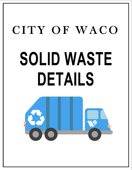# CITY OF WACO **SOLID WASTE DETAILS**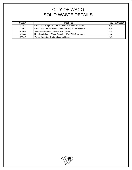# CITY OF WACO SOLID WASTE DETAILS

| Sheet # | <b>Sheet Title</b>                                   | Previous Sheet # |
|---------|------------------------------------------------------|------------------|
| SDW-1   | Front Load Single Waste Container Pad With Enclosure | N/A              |
| SDW-2   | Front Load Double Waste Container Pad With Enclosure | N/A              |
| SDW-3   | Side Load Waste Container Pad Details                | N/A              |
| SDW-4   | Rear Load Single Waste Container Pad With Enclosure  | N/A              |
| SDW-5   | Waste Container Pad and Apron Details                | N/A              |

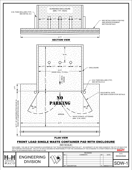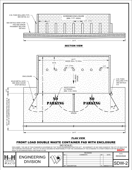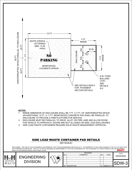

### **NOTES:**

 $W A C C$ 

- 1. INSIDE DIMENSION OF ENCLOSURE SHALL BE 7 FT. X 7 FT. OF UNINTERRUPTED SPACE. AN ADDITIONAL 12 FT. X 11 FT. REINFORCED CONCRETE PAD SHALL BE PARALLEL TO ENCLOSURE TO PROVIDE A FIRM PLATFORM FOR SERVICE.
- 2. ENCLOSURE MUST BE PARALLEL TO DRIVE, ALLEY OR FIRE LANE AND ALLOW ROOM FOR VEHICLE TO APPROACH. DOORS ARE NOT ALLOWED ON SIDE LOAD ENCLOSURES.
- 3. SIDE LOAD WASTE CONTAINERS REQUIRE SOLID WASTE MANAGEMENT APPROVAL.

# SIDE LOAD WASTE CONTAINER PAD DETAILS

(NO SCALE)

DISCLAIMER: THE USE OF THIS STANDARD IS GOVERNED BY THE "TEXAS ENGINEERING PRACTICE ACT". NO WARRANTY OF ANY KIND IS MADE BY THE CITY OF WACO FOR ANY PURPOSE WHATSOEVER. THE CITY OF WACO ASSUMES NO RESPONSIBILITY FOR THE CONVERSION OF THIS STANDARD TO OTHER FORMATS OR FOR INCORRECT<br>RESULTS OR DAMAGES RESULTING FROM ITS USE. RESULTS OR DAMAGES RESULTING FROM ITS USE.

|                    |                                 |      | <b>REVISIONS</b>   |    | DATE       |            |  |
|--------------------|---------------------------------|------|--------------------|----|------------|------------|--|
|                    | 一                               | INO. | <b>COMMENTS</b>    | BY | DATE       |            |  |
| <b>FNGINFFRING</b> | $\pi$<br>$\mathbb{Z}$<br>$\sim$ |      |                    |    |            | 05/02/2022 |  |
|                    |                                 |      |                    |    |            |            |  |
| <b>DIVISION</b>    | $\sqrt{\frac{1}{2}}$            |      |                    |    |            |            |  |
|                    | $\sqrt{V}$                      |      |                    |    |            | M-         |  |
|                    |                                 |      |                    |    |            |            |  |
|                    |                                 | #    | <b>DESCRIPTION</b> |    | MM/DD/YYYY |            |  |
|                    |                                 |      |                    |    |            |            |  |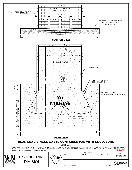